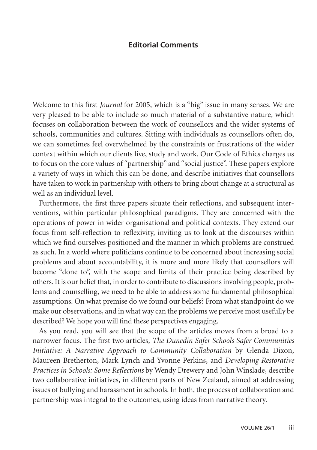## **Editorial Comments**

Welcome to this first *Journal* for 2005, which is a "big" issue in many senses. We are very pleased to be able to include so much material of a substantive nature, which focuses on collaboration between the work of counsellors and the wider systems of schools, communities and cultures. Sitting with individuals as counsellors often do, we can sometimes feel overwhelmed by the constraints or frustrations of the wider context within which our clients live, study and work. Our Code of Ethics charges us to focus on the core values of "partnership" and "social justice". These papers explore a variety of ways in which this can be done, and describe initiatives that counsellors have taken to work in partnership with others to bring about change at a structural as well as an individual level.

Furthermore, the first three papers situate their reflections, and subsequent interventions, within particular philosophical paradigms. They are concerned with the operations of power in wider organisational and political contexts. They extend our focus from self-reflection to reflexivity, inviting us to look at the discourses within which we find ourselves positioned and the manner in which problems are construed as such. In a world where politicians continue to be concerned about increasing social problems and about accountability, it is more and more likely that counsellors will become "done to", with the scope and limits of their practice being described by others. It is our belief that, in order to contribute to discussions involving people, problems and counselling, we need to be able to address some fundamental philosophical assumptions. On what premise do we found our beliefs? From what standpoint do we make our observations, and in what way can the problems we perceive most usefully be described? We hope you will find these perspectives engaging.

As you read, you will see that the scope of the articles moves from a broad to a narrower focus. The first two articles, *The Dunedin Safer Schools Safer Communities Initiative: A Narrative Approach to Community Collaboration* by Glenda Dixon, Maureen Bretherton, Mark Lynch and Yvonne Perkins, and *Developing Restorative Practices in Schools: Some Reflections* by Wendy Drewery and John Winslade, describe two collaborative initiatives, in different parts of New Zealand, aimed at addressing issues of bullying and harassment in schools. In both, the process of collaboration and partnership was integral to the outcomes, using ideas from narrative theory.